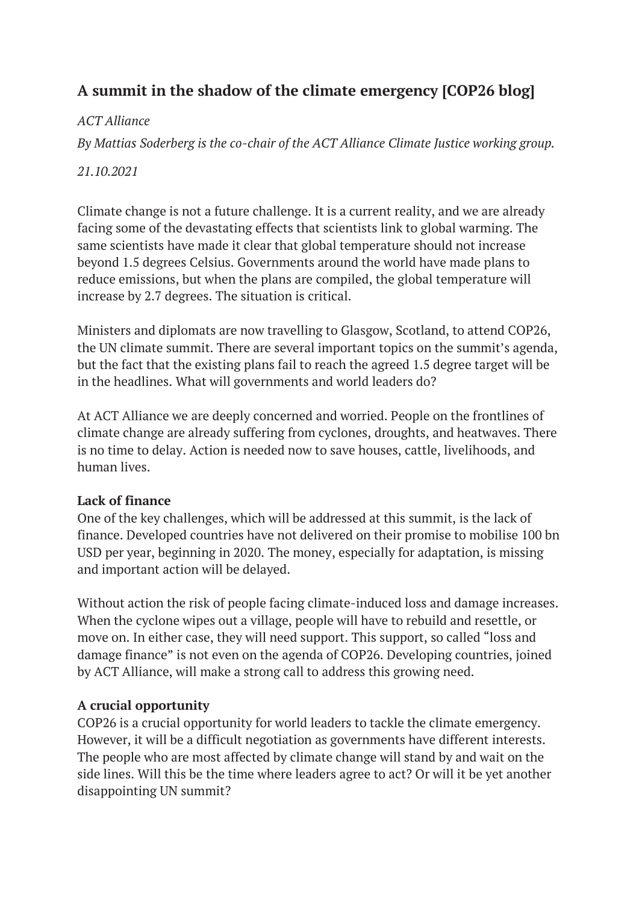# **A summit in the shadow of the climate emergency [COP26 blog]**

# *ACT Alliance*

*By Mattias Soderberg is the co-chair of the ACT Alliance Climate Justice working group.*

## *21.10.2021*

Climate change is not a future challenge. It is a current reality, and we are already facing some of the devastating effects that scientists link to global warming. The same scientists have made it clear that global temperature should not increase beyond 1.5 degrees Celsius. Governments around the world have made plans to reduce emissions, but when the plans are compiled, the global temperature will increase by 2.7 degrees. The situation is critical.

Ministers and diplomats are now travelling to Glasgow, Scotland, to attend COP26, the UN climate summit. There are several important topics on the summit's agenda, but the fact that the existing plans fail to reach the agreed 1.5 degree target will be in the headlines. What will governments and world leaders do?

At ACT Alliance we are deeply concerned and worried. People on the frontlines of climate change are already suffering from cyclones, droughts, and heatwaves. There is no time to delay. Action is needed now to save houses, cattle, livelihoods, and human lives.

### **Lack of finance**

One of the key challenges, which will be addressed at this summit, is the lack of finance. Developed countries have not delivered on their promise to mobilise 100 bn USD per year, beginning in 2020. The money, especially for adaptation, is missing and important action will be delayed.

Without action the risk of people facing climate-induced loss and damage increases. When the cyclone wipes out a village, people will have to rebuild and resettle, or move on. In either case, they will need support. This support, so called "loss and damage finance" is not even on the agenda of COP26. Developing countries, joined by ACT Alliance, will make a strong call to address this growing need.

### **A crucial opportunity**

COP26 is a crucial opportunity for world leaders to tackle the climate emergency. However, it will be a difficult negotiation as governments have different interests. The people who are most affected by climate change will stand by and wait on the side lines. Will this be the time where leaders agree to act? Or will it be yet another disappointing UN summit?